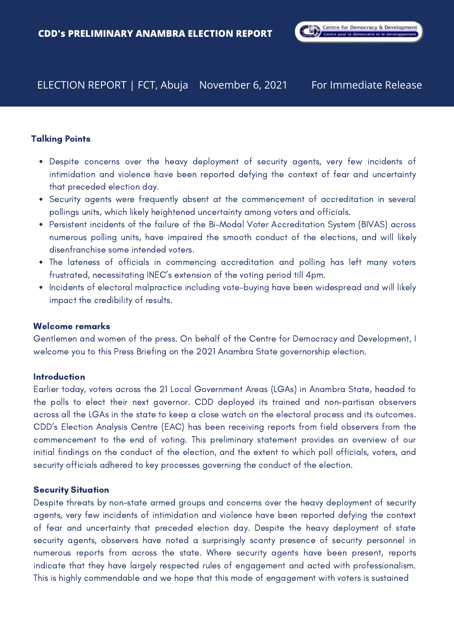# ELECTION REPORT | FCT, Abuja November 6, 2021

# Talking Points

- Despite concerns over the heavy deployment of security agents, very few incidents of intimidation and violence have been reported defying the context of fear and uncertainty that preceded election day.
- Security agents were frequently absent at the commencement of accreditation in several pollings units, which likely heightened uncertainty among voters and officials.
- Persistent incidents of the failure of the Bi-Modal Voter Accreditation System (BIVAS) across numerous polling units, have impaired the smooth conduct of the elections, and will likely disenfranchise some intended voters.
- The lateness of officials in commencing accreditation and polling has left many voters frustrated, necessitating INEC's extension of the voting period till 4pm.
- Incidents of electoral malpractice including vote-buying have been widespread and will likely impact the credibility of results.

# Welcome remarks

Gentlemen and women of the press. On behalf of the Centre for Democracy and Development, I welcome you to this Press Briefing on the 2021 Anambra State governorship election.

# **Introduction**

Earlier today, voters across the 21 Local Government Areas (LGAs) in Anambra State, headed to the polls to elect their next governor. CDD deployed its trained and non-partisan observers across all the LGAs in the state to keep a close watch on the electoral process and its outcomes. CDD's Election Analysis Centre (EAC) has been receiving reports from field observers from the commencement to the end of voting. This preliminary statement provides an overview of our initial findings on the conduct of the election, and the extent to which poll officials, voters, and security officials adhered to key processes governing the conduct of the election.

# Security Situation

Despite threats by non-state armed groups and concerns over the heavy deployment of security agents, very few incidents of intimidation and violence have been reported defying the context of fear and uncertainty that preceded election day. Despite the heavy deployment of state security agents, observers have noted a surprisingly scanty presence of security personnel in numerous reports from across the state. Where security agents have been present, reports indicate that they have largely respected rules of engagement and acted with professionalism. This is highly commendable and we hope that this mode of engagement with voters is sustained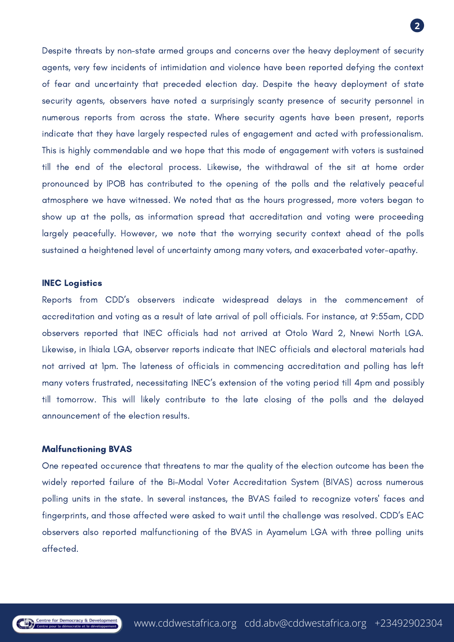

Despite threats by non-state armed groups and concerns over the heavy deployment of security agents, very few incidents of intimidation and violence have been reported defying the context of fear and uncertainty that preceded election day. Despite the heavy deployment of state security agents, observers have noted a surprisingly scanty presence of security personnel in numerous reports from across the state. Where security agents have been present, reports indicate that they have largely respected rules of engagement and acted with professionalism. This is highly commendable and we hope that this mode of engagement with voters is sustained till the end of the electoral process. Likewise, the withdrawal of the sit at home order pronounced by IPOB has contributed to the opening of the polls and the relatively peaceful atmosphere we have witnessed. We noted that as the hours progressed, more voters began to show up at the polls, as information spread that accreditation and voting were proceeding largely peacefully. However, we note that the worrying security context ahead of the polls sustained a heightened level of uncertainty among many voters, and exacerbated voter-apathy.

# INEC Logistics

Reports from CDD's observers indicate widespread delays in the commencement of accreditation and voting as a result of late arrival of poll officials. For instance, at 9:55am, CDD observers reported that INEC officials had not arrived at Otolo Ward 2, Nnewi North LGA. Likewise, in Ihiala LGA, observer reports indicate that INEC officials and electoral materials had not arrived at 1pm. The lateness of officials in commencing accreditation and polling has left many voters frustrated, necessitating INEC's extension of the voting period till 4pm and possibly till tomorrow. This will likely contribute to the late closing of the polls and the delayed announcement of the election results.

#### Malfunctioning BVAS

One repeated occurence that threatens to mar the quality of the election outcome has been the widely reported failure of the Bi-Modal Voter Accreditation System (BIVAS) across numerous polling units in the state. In several instances, the BVAS failed to recognize voters' faces and fingerprints, and those affected were asked to wait until the challenge was resolved. CDD's EAC observers also reported malfunctioning of the BVAS in Ayamelum LGA with three polling units affected.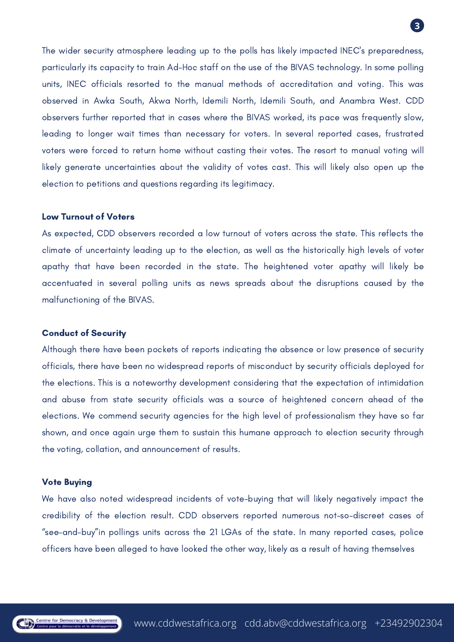

The wider security atmosphere leading up to the polls has likely impacted INEC's preparedness, particularly its capacity to train Ad-Hoc staff on the use of the BIVAS technology. In some polling units, INEC officials resorted to the manual methods of accreditation and voting. This was observed in Awka South, Akwa North, Idemili North, Idemili South, and Anambra West. CDD observers further reported that in cases where the BIVAS worked, its pace was frequently slow, leading to longer wait times than necessary for voters. In several reported cases, frustrated voters were forced to return home without casting their votes. The resort to manual voting will likely generate uncertainties about the validity of votes cast. This will likely also open up the election to petitions and questions regarding its legitimacy.

### Low Turnout of Voters

As expected, CDD observers recorded a low turnout of voters across the state. This reflects the climate of uncertainty leading up to the election, as well as the historically high levels of voter apathy that have been recorded in the state. The heightened voter apathy will likely be accentuated in several polling units as news spreads about the disruptions caused by the malfunctioning of the BIVAS.

# Conduct of Security

Although there have been pockets of reports indicating the absence or low presence of security officials, there have been no widespread reports of misconduct by security officials deployed for the elections. This is a noteworthy development considering that the expectation of intimidation and abuse from state security officials was a source of heightened concern ahead of the elections. We commend security agencies for the high level of professionalism they have so far shown, and once again urge them to sustain this humane approach to election security through the voting, collation, and announcement of results.

# Vote Buying

We have also noted widespread incidents of vote-buying that will likely negatively impact the credibility of the election result. CDD observers reported numerous not-so-discreet cases of "see-and-buy"in pollings units across the 21 LGAs of the state. In many reported cases, police officers have been alleged to have looked the other way, likely as a result of having themselves